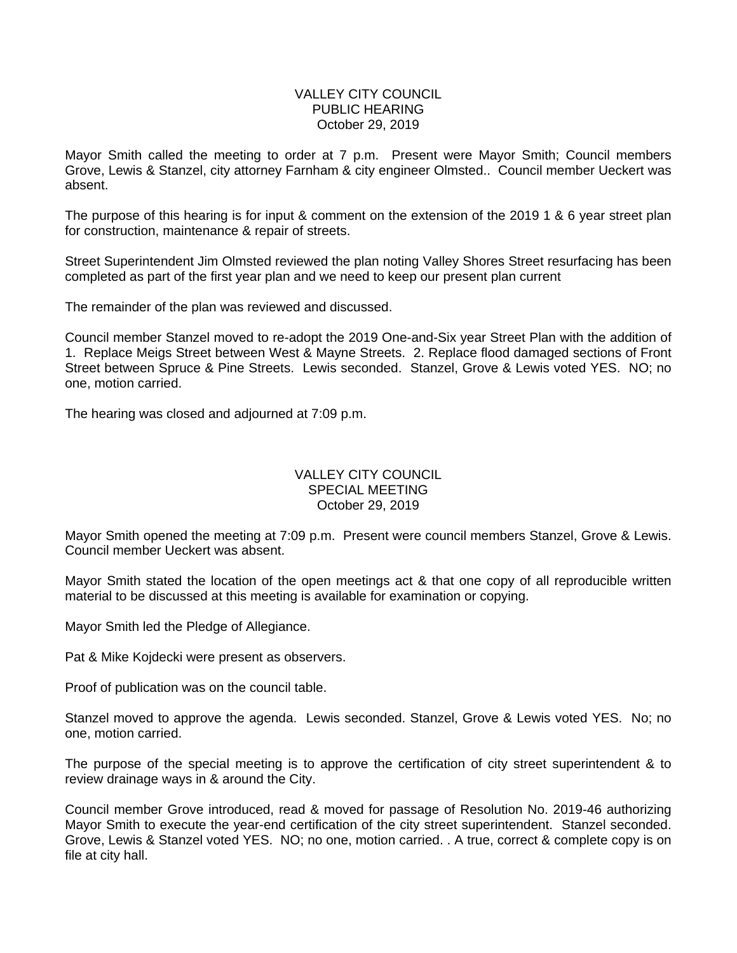## VALLEY CITY COUNCIL PUBLIC HEARING October 29, 2019

Mayor Smith called the meeting to order at 7 p.m. Present were Mayor Smith; Council members Grove, Lewis & Stanzel, city attorney Farnham & city engineer Olmsted.. Council member Ueckert was absent.

The purpose of this hearing is for input & comment on the extension of the 2019 1 & 6 year street plan for construction, maintenance & repair of streets.

Street Superintendent Jim Olmsted reviewed the plan noting Valley Shores Street resurfacing has been completed as part of the first year plan and we need to keep our present plan current

The remainder of the plan was reviewed and discussed.

Council member Stanzel moved to re-adopt the 2019 One-and-Six year Street Plan with the addition of 1. Replace Meigs Street between West & Mayne Streets. 2. Replace flood damaged sections of Front Street between Spruce & Pine Streets. Lewis seconded. Stanzel, Grove & Lewis voted YES. NO; no one, motion carried.

The hearing was closed and adjourned at 7:09 p.m.

## VALLEY CITY COUNCIL SPECIAL MEETING October 29, 2019

Mayor Smith opened the meeting at 7:09 p.m. Present were council members Stanzel, Grove & Lewis. Council member Ueckert was absent.

Mayor Smith stated the location of the open meetings act & that one copy of all reproducible written material to be discussed at this meeting is available for examination or copying.

Mayor Smith led the Pledge of Allegiance.

Pat & Mike Kojdecki were present as observers.

Proof of publication was on the council table.

Stanzel moved to approve the agenda. Lewis seconded. Stanzel, Grove & Lewis voted YES. No; no one, motion carried.

The purpose of the special meeting is to approve the certification of city street superintendent & to review drainage ways in & around the City.

Council member Grove introduced, read & moved for passage of Resolution No. 2019-46 authorizing Mayor Smith to execute the year-end certification of the city street superintendent. Stanzel seconded. Grove, Lewis & Stanzel voted YES. NO; no one, motion carried. . A true, correct & complete copy is on file at city hall.